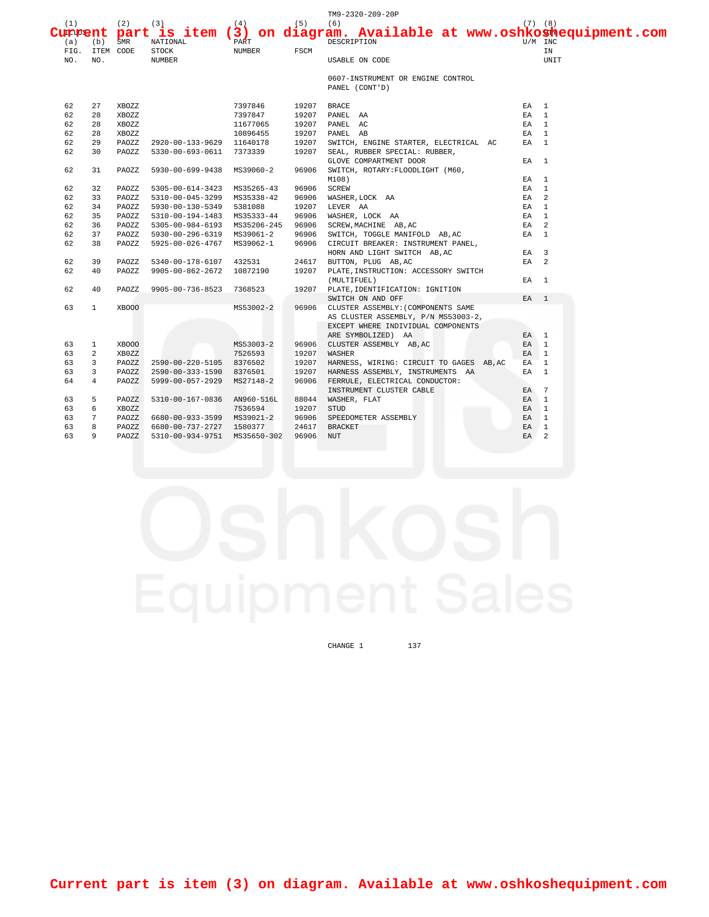|                |                |             |                                                       |           |       | TM9-2320-209-20P                                                   |                 |                 |
|----------------|----------------|-------------|-------------------------------------------------------|-----------|-------|--------------------------------------------------------------------|-----------------|-----------------|
| (1)            |                | $(2)$ $(3)$ |                                                       | (4)       | (5)   | (6)                                                                |                 | $(7)$ $(8)$     |
| <b>Current</b> |                |             |                                                       |           |       | part is item (3) on diagram. Available at www.oshkoshequipment.com |                 |                 |
| (a)            | (b)            | SMR         | NATIONAL                                              | PART      |       | DESCRIPTION                                                        |                 | U/M INC         |
|                | FIG. ITEM CODE |             | <b>STOCK</b>                                          | NUMBER    | FSCM  |                                                                    |                 | ΙN              |
| NO.            | NO.            |             | NUMBER                                                |           |       | <b>USABLE ON CODE</b>                                              |                 | UNIT            |
|                |                |             |                                                       |           |       | 0607-INSTRUMENT OR ENGINE CONTROL                                  |                 |                 |
|                |                |             |                                                       |           |       | PANEL (CONT'D)                                                     |                 |                 |
| 62             | 27             | XBOZZ       |                                                       | 7397846   | 19207 | <b>BRACE</b>                                                       | EA 1            |                 |
| 62             | 28             | XBOZZ       |                                                       | 7397847   | 19207 | PANEL AA                                                           | EA              | $\overline{1}$  |
| 62             | 28             | XBOZZ       |                                                       | 11677065  | 19207 | PANEL AC                                                           | EA              | $\overline{1}$  |
| 62             | 28             | XBOZZ       |                                                       | 10896455  | 19207 | PANEL AB                                                           | EA 1            |                 |
| 62             | 29             | PAOZZ       |                                                       |           | 19207 | SWITCH, ENGINE STARTER, ELECTRICAL AC                              | EA <sub>1</sub> |                 |
| 62             | 30             | PAOZZ       | 2920-00-133-9629 11640178<br>5330-00-693-0611 7373339 |           | 19207 | SEAL, RUBBER SPECIAL: RUBBER,                                      |                 |                 |
|                |                |             |                                                       |           |       | GLOVE COMPARTMENT DOOR                                             | EA <sub>1</sub> |                 |
| 62             | 31             | PAOZZ       | 5930-00-699-9438 MS39060-2                            |           | 96906 | SWITCH, ROTARY: FLOODLIGHT (M60,                                   |                 |                 |
|                |                |             |                                                       |           |       | M108)                                                              | EA 1            |                 |
| 62             | 32             | PAOZZ       | 5305-00-614-3423 MS35265-43                           |           | 96906 | SCREW                                                              | EA              | <sup>1</sup>    |
| 62             | 33             | PAOZZ       | 5310-00-045-3299 MS35338-42                           |           | 96906 | WASHER, LOCK AA                                                    | EA              | 2               |
| 62             | 34             | PAOZZ       | 5930-00-130-5349 5381088                              |           | 19207 | LEVER AA                                                           | EA.             | $\overline{1}$  |
| 62             | 35             | PAOZZ       | 5310-00-194-1483 MS35333-44                           |           | 96906 | WASHER, LOCK AA                                                    | EA              | $\mathbf{1}$    |
| 62             | 36             | PAOZZ       | 5305-00-984-6193 MS35206-245                          |           | 96906 | SCREW, MACHINE AB, AC                                              | EA              | $\overline{a}$  |
| 62             | 37             | PAOZZ       | 5930-00-296-6319 MS39061-2                            |           | 96906 | SWITCH, TOGGLE MANIFOLD AB, AC                                     | $EA$ 1          |                 |
| 62             | 38             | PAOZZ       | 5925-00-026-4767 MS39062-1                            |           | 96906 | CIRCUIT BREAKER: INSTRUMENT PANEL,                                 |                 |                 |
|                |                |             |                                                       |           |       | HORN AND LIGHT SWITCH AB, AC                                       | EA <sub>3</sub> |                 |
| 62             | 39             | PAOZZ       | 5340-00-178-6107 432531                               |           | 24617 | BUTTON, PLUG AB, AC                                                | $EA$ 2          |                 |
| 62             | 40             | PAOZZ       | 9905-00-862-2672 10872190                             |           | 19207 | PLATE, INSTRUCTION: ACCESSORY SWITCH                               |                 |                 |
|                |                |             |                                                       |           |       | (MULTIFUEL)                                                        | EA <sub>1</sub> |                 |
| 62             | 40             | PAOZZ       | 9905-00-736-8523 7368523                              |           | 19207 | PLATE, IDENTIFICATION: IGNITION                                    |                 |                 |
|                |                |             |                                                       |           |       | SWITCH ON AND OFF                                                  | EA <sub>1</sub> |                 |
| 63             | $\mathbf{1}$   | XBOOO       |                                                       | MS53002-2 | 96906 | CLUSTER ASSEMBLY: (COMPONENTS SAME                                 |                 |                 |
|                |                |             |                                                       |           |       | AS CLUSTER ASSEMBLY, P/N MS53003-2,                                |                 |                 |
|                |                |             |                                                       |           |       | EXCEPT WHERE INDIVIDUAL COMPONENTS                                 |                 |                 |
|                |                |             |                                                       |           |       | ARE SYMBOLIZED) AA                                                 | EA 1            |                 |
| 63             | $\mathbf{1}$   | XBOOO       |                                                       | MS53003-2 | 96906 | CLUSTER ASSEMBLY AB, AC                                            | EA <sub>1</sub> |                 |
| 63             | 2              | XB0ZZ       |                                                       | 7526593   | 19207 | WASHER                                                             | EA <sub>1</sub> |                 |
| 63             | 3              | PAOZZ       | 2590-00-220-5105 8376502                              |           | 19207 | HARNESS, WIRING: CIRCUIT TO GAGES AB, AC                           | EA              | $\mathbf{1}$    |
| 63             | 3              | PAOZZ       | 2590-00-333-1590 8376501                              |           | 19207 | HARNESS ASSEMBLY, INSTRUMENTS AA                                   | EA              | $\overline{1}$  |
| 64             | $\overline{4}$ | PAOZZ       | 5999-00-057-2929 MS27148-2                            |           | 96906 | FERRULE, ELECTRICAL CONDUCTOR:                                     |                 |                 |
|                |                |             |                                                       |           |       | INSTRUMENT CLUSTER CABLE                                           | EA              | $7\overline{ }$ |
| 63             | 5              | PAOZZ       | 5310-00-167-0836 AN960-516L                           |           | 88044 | WASHER, FLAT                                                       | EA 1            |                 |
| 63             | 6              | XBOZZ       |                                                       | 7536594   | 19207 | <b>STUD</b>                                                        | EA              | $\mathbf{1}$    |
| 63             | 7              | PAOZZ       | 6680-00-933-3599 MS39021-2                            |           | 96906 | SPEEDOMETER ASSEMBLY                                               | EA              | $\mathbf{1}$    |
| 63             | 8              | PAOZZ       | 6680-00-737-2727 1580377                              |           | 24617 | <b>BRACKET</b>                                                     | EA <sub>1</sub> |                 |
| 63             | 9              | PAOZZ       | 5310-00-934-9751 MS35650-302                          |           | 96906 | <b>NUT</b>                                                         | EA.             | $\overline{2}$  |

CHANGE 1 137

**Current part is item (3) on diagram. Available at www.oshkoshequipment.com**